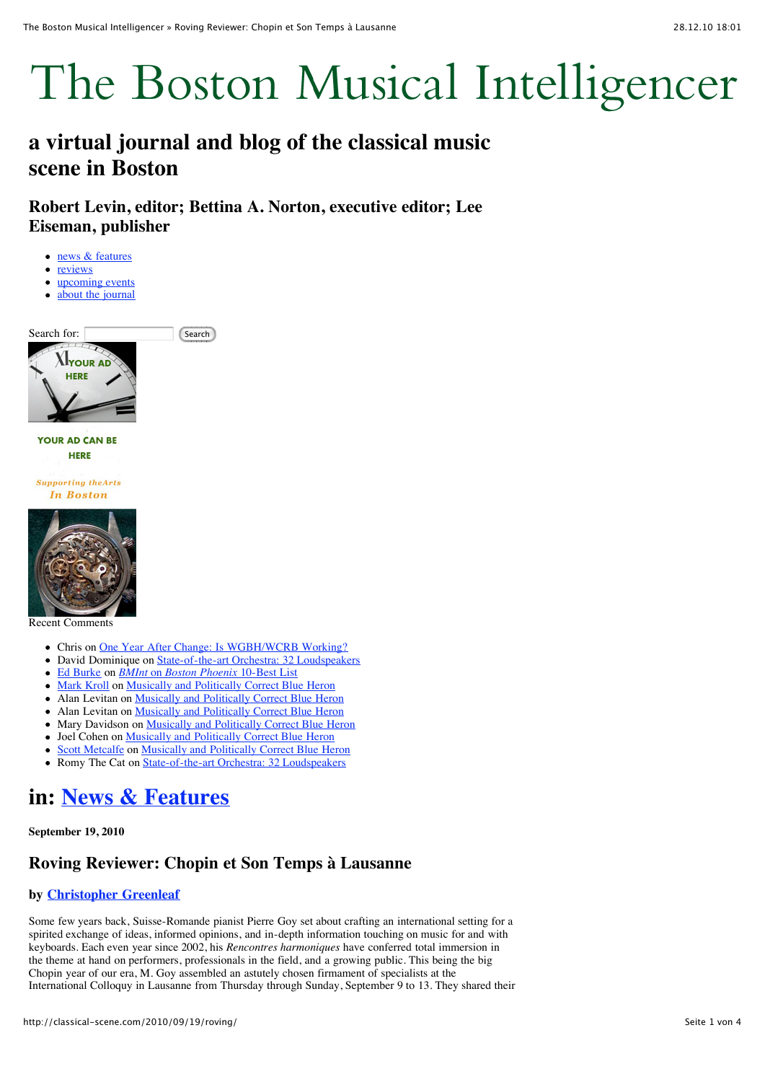# The Boston Musical Intelligencer

# **a virtual journal and blog of the classical music scene in Boston**

**Robert Levin, editor; Bettina A. Norton, executive editor; Lee Eiseman, publisher**

- [news & features](http://classical-scene.com/topics/news/)
- [reviews](http://classical-scene.com/topics/reviews/)
- [upcoming events](http://classical-scene.com/calendar/)
- [about the journal](http://classical-scene.com/about/)  $\bullet$





Recent Comments

- Chris on [One Year After Change: Is WGBH/WCRB Working?](http://classical-scene.com/2010/11/07/one-year/comment-page-2/#comment-4894)
- David Dominique on [State-of-the-art Orchestra: 32 Loudspeakers](http://classical-scene.com/2010/12/22/32-loudspeakers/comment-page-1/#comment-4859)
- [Ed Burke](http://abseacruises.com/) on *BMInt* on *[Boston Phoenix](http://classical-scene.com/2010/12/23/bmint-10-best/comment-page-1/#comment-4720)* 10-Best List
- [Mark Kroll](http://www.markkroll.com/) on [Musically and Politically Correct Blue Heron](http://classical-scene.com/2010/12/20/correct-blue-heron/comment-page-1/#comment-4702)
- Alan Levitan on **Musically and Politically Correct Blue Heron**
- Alan Levitan on [Musically and Politically Correct Blue Heron](http://classical-scene.com/2010/12/20/correct-blue-heron/comment-page-1/#comment-4650)
- Mary Davidson on **Musically and Politically Correct Blue Heron**
- Joel Cohen on [Musically and Politically Correct Blue Heron](http://classical-scene.com/2010/12/20/correct-blue-heron/comment-page-1/#comment-4600)
- [Scott Metcalfe](http://blueheronchoir.org/) on [Musically and Politically Correct Blue Heron](http://classical-scene.com/2010/12/20/correct-blue-heron/comment-page-1/#comment-4543)
- Romy The Cat on [State-of-the-art Orchestra: 32 Loudspeakers](http://classical-scene.com/2010/12/22/32-loudspeakers/comment-page-1/#comment-4532)

# **in: [News & Features](http://classical-scene.com/topics/news/)**

**September 19, 2010**

## **Roving Reviewer: Chopin et Son Temps à Lausanne**

### **by [Christopher Greenleaf](http://classical-scene.com/author/christopher-greenleaf/)**

Some few years back, Suisse-Romande pianist Pierre Goy set about crafting an international setting for a spirited exchange of ideas, informed opinions, and in-depth information touching on music for and with keyboards. Each even year since 2002, his *Rencontres harmoniques* have conferred total immersion in the theme at hand on performers, professionals in the field, and a growing public. This being the big Chopin year of our era, M. Goy assembled an astutely chosen firmament of specialists at the International Colloquy in Lausanne from Thursday through Sunday, September 9 to 13. They shared their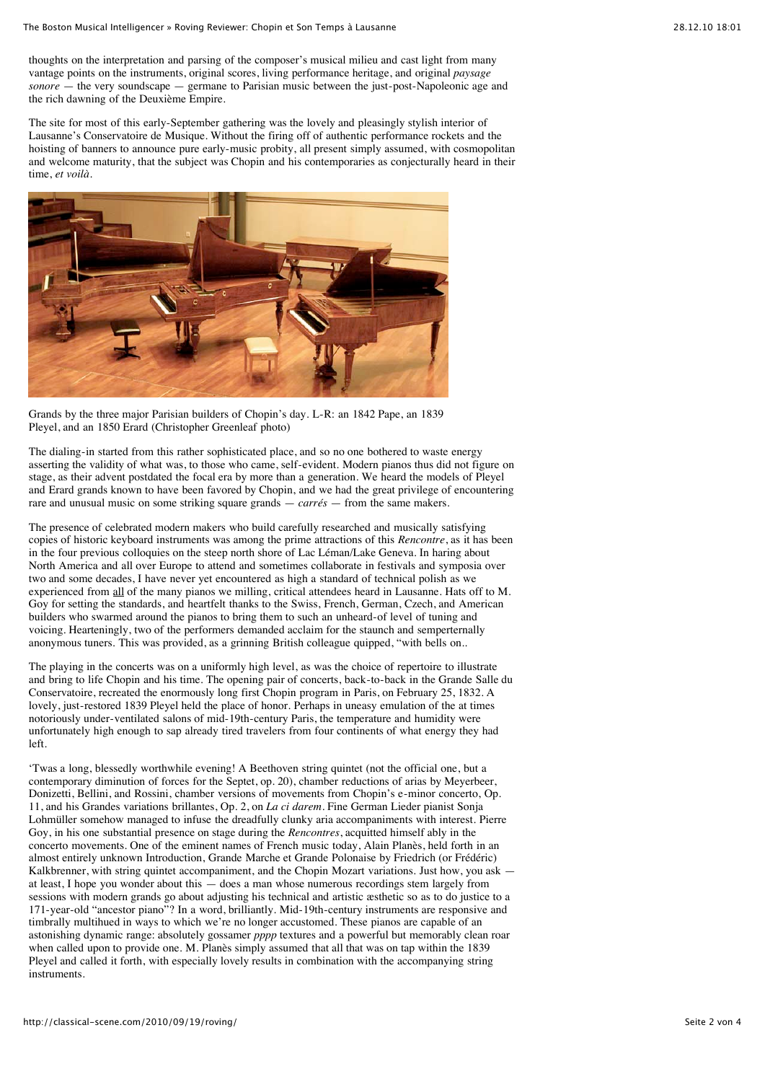thoughts on the interpretation and parsing of the composer's musical milieu and cast light from many vantage points on the instruments, original scores, living performance heritage, and original *paysage sonore* — the very soundscape — germane to Parisian music between the just-post-Napoleonic age and the rich dawning of the Deuxième Empire.

The site for most of this early-September gathering was the lovely and pleasingly stylish interior of Lausanne's Conservatoire de Musique. Without the firing off of authentic performance rockets and the hoisting of banners to announce pure early-music probity, all present simply assumed, with cosmopolitan and welcome maturity, that the subject was Chopin and his contemporaries as conjecturally heard in their time, *et voilà*.



Grands by the three major Parisian builders of Chopin's day. L-R: an 1842 Pape, an 1839 Pleyel, and an 1850 Erard (Christopher Greenleaf photo)

The dialing-in started from this rather sophisticated place, and so no one bothered to waste energy asserting the validity of what was, to those who came, self-evident. Modern pianos thus did not figure on stage, as their advent postdated the focal era by more than a generation. We heard the models of Pleyel and Erard grands known to have been favored by Chopin, and we had the great privilege of encountering rare and unusual music on some striking square grands — *carrés* — from the same makers.

The presence of celebrated modern makers who build carefully researched and musically satisfying copies of historic keyboard instruments was among the prime attractions of this *Rencontre*, as it has been in the four previous colloquies on the steep north shore of Lac Léman/Lake Geneva. In haring about North America and all over Europe to attend and sometimes collaborate in festivals and symposia over two and some decades, I have never yet encountered as high a standard of technical polish as we experienced from all of the many pianos we milling, critical attendees heard in Lausanne. Hats off to M. Goy for setting the standards, and heartfelt thanks to the Swiss, French, German, Czech, and American builders who swarmed around the pianos to bring them to such an unheard-of level of tuning and voicing. Hearteningly, two of the performers demanded acclaim for the staunch and semperternally anonymous tuners. This was provided, as a grinning British colleague quipped, "with bells on..

The playing in the concerts was on a uniformly high level, as was the choice of repertoire to illustrate and bring to life Chopin and his time. The opening pair of concerts, back-to-back in the Grande Salle du Conservatoire, recreated the enormously long first Chopin program in Paris, on February 25, 1832. A lovely, just-restored 1839 Pleyel held the place of honor. Perhaps in uneasy emulation of the at times notoriously under-ventilated salons of mid-19th-century Paris, the temperature and humidity were unfortunately high enough to sap already tired travelers from four continents of what energy they had left.

'Twas a long, blessedly worthwhile evening! A Beethoven string quintet (not the official one, but a contemporary diminution of forces for the Septet, op. 20), chamber reductions of arias by Meyerbeer, Donizetti, Bellini, and Rossini, chamber versions of movements from Chopin's e-minor concerto, Op. 11, and his Grandes variations brillantes, Op. 2, on *La ci darem*. Fine German Lieder pianist Sonja Lohmüller somehow managed to infuse the dreadfully clunky aria accompaniments with interest. Pierre Goy, in his one substantial presence on stage during the *Rencontres*, acquitted himself ably in the concerto movements. One of the eminent names of French music today, Alain Planès, held forth in an almost entirely unknown Introduction, Grande Marche et Grande Polonaise by Friedrich (or Frédéric) Kalkbrenner, with string quintet accompaniment, and the Chopin Mozart variations. Just how, you ask at least, I hope you wonder about this — does a man whose numerous recordings stem largely from sessions with modern grands go about adjusting his technical and artistic æsthetic so as to do justice to a 171-year-old "ancestor piano"? In a word, brilliantly. Mid-19th-century instruments are responsive and timbrally multihued in ways to which we're no longer accustomed. These pianos are capable of an astonishing dynamic range: absolutely gossamer *pppp* textures and a powerful but memorably clean roar when called upon to provide one. M. Planès simply assumed that all that was on tap within the 1839 Pleyel and called it forth, with especially lovely results in combination with the accompanying string instruments.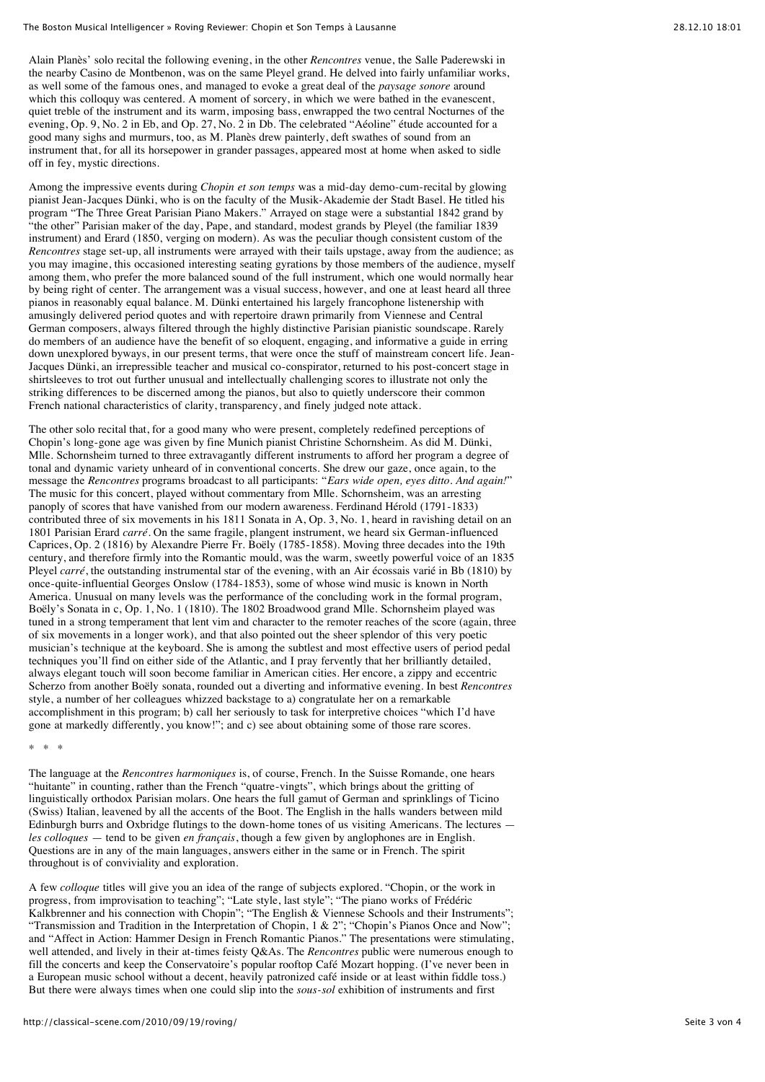#### The Boston Musical Intelligencer » Roving Reviewer: Chopin et Son Temps à Lausanne

Alain Planès' solo recital the following evening, in the other *Rencontres* venue, the Salle Paderewski in the nearby Casino de Montbenon, was on the same Pleyel grand. He delved into fairly unfamiliar works, as well some of the famous ones, and managed to evoke a great deal of the *paysage sonore* around which this colloquy was centered. A moment of sorcery, in which we were bathed in the evanescent, quiet treble of the instrument and its warm, imposing bass, enwrapped the two central Nocturnes of the evening, Op. 9, No. 2 in Eb, and Op. 27, No. 2 in Db. The celebrated "Aéoline" étude accounted for a good many sighs and murmurs, too, as M. Planès drew painterly, deft swathes of sound from an instrument that, for all its horsepower in grander passages, appeared most at home when asked to sidle off in fey, mystic directions.

Among the impressive events during *Chopin et son temps* was a mid-day demo-cum-recital by glowing pianist Jean-Jacques Dünki, who is on the faculty of the Musik-Akademie der Stadt Basel. He titled his program "The Three Great Parisian Piano Makers." Arrayed on stage were a substantial 1842 grand by "the other" Parisian maker of the day, Pape, and standard, modest grands by Pleyel (the familiar 1839 instrument) and Erard (1850, verging on modern). As was the peculiar though consistent custom of the *Rencontres* stage set-up, all instruments were arrayed with their tails upstage, away from the audience; as you may imagine, this occasioned interesting seating gyrations by those members of the audience, myself among them, who prefer the more balanced sound of the full instrument, which one would normally hear by being right of center. The arrangement was a visual success, however, and one at least heard all three pianos in reasonably equal balance. M. Dünki entertained his largely francophone listenership with amusingly delivered period quotes and with repertoire drawn primarily from Viennese and Central German composers, always filtered through the highly distinctive Parisian pianistic soundscape. Rarely do members of an audience have the benefit of so eloquent, engaging, and informative a guide in erring down unexplored byways, in our present terms, that were once the stuff of mainstream concert life. Jean-Jacques Dünki, an irrepressible teacher and musical co-conspirator, returned to his post-concert stage in shirtsleeves to trot out further unusual and intellectually challenging scores to illustrate not only the striking differences to be discerned among the pianos, but also to quietly underscore their common French national characteristics of clarity, transparency, and finely judged note attack.

The other solo recital that, for a good many who were present, completely redefined perceptions of Chopin's long-gone age was given by fine Munich pianist Christine Schornsheim. As did M. Dünki, Mlle. Schornsheim turned to three extravagantly different instruments to afford her program a degree of tonal and dynamic variety unheard of in conventional concerts. She drew our gaze, once again, to the message the *Rencontres* programs broadcast to all participants: "*Ears wide open, eyes ditto. And again!*" The music for this concert, played without commentary from Mlle. Schornsheim, was an arresting panoply of scores that have vanished from our modern awareness. Ferdinand Hérold (1791-1833) contributed three of six movements in his 1811 Sonata in A, Op. 3, No. 1, heard in ravishing detail on an 1801 Parisian Erard *carré*. On the same fragile, plangent instrument, we heard six German-influenced Caprices, Op. 2 (1816) by Alexandre Pierre Fr. Boëly (1785-1858). Moving three decades into the 19th century, and therefore firmly into the Romantic mould, was the warm, sweetly powerful voice of an 1835 Pleyel *carré*, the outstanding instrumental star of the evening, with an Air écossais varié in Bb (1810) by once-quite-influential Georges Onslow (1784-1853), some of whose wind music is known in North America. Unusual on many levels was the performance of the concluding work in the formal program, Boëly's Sonata in c, Op. 1, No. 1 (1810). The 1802 Broadwood grand Mlle. Schornsheim played was tuned in a strong temperament that lent vim and character to the remoter reaches of the score (again, three of six movements in a longer work), and that also pointed out the sheer splendor of this very poetic musician's technique at the keyboard. She is among the subtlest and most effective users of period pedal techniques you'll find on either side of the Atlantic, and I pray fervently that her brilliantly detailed, always elegant touch will soon become familiar in American cities. Her encore, a zippy and eccentric Scherzo from another Boëly sonata, rounded out a diverting and informative evening. In best *Rencontres* style, a number of her colleagues whizzed backstage to a) congratulate her on a remarkable accomplishment in this program; b) call her seriously to task for interpretive choices "which I'd have gone at markedly differently, you know!"; and c) see about obtaining some of those rare scores.

#### \* \* \*

The language at the *Rencontres harmoniques* is, of course, French. In the Suisse Romande, one hears "huitante" in counting, rather than the French "quatre-vingts", which brings about the gritting of linguistically orthodox Parisian molars. One hears the full gamut of German and sprinklings of Ticino (Swiss) Italian, leavened by all the accents of the Boot. The English in the halls wanders between mild Edinburgh burrs and Oxbridge flutings to the down-home tones of us visiting Americans. The lectures *les colloques* — tend to be given *en français*, though a few given by anglophones are in English. Questions are in any of the main languages, answers either in the same or in French. The spirit throughout is of conviviality and exploration.

A few *colloque* titles will give you an idea of the range of subjects explored. "Chopin, or the work in progress, from improvisation to teaching"; "Late style, last style"; "The piano works of Frédéric Kalkbrenner and his connection with Chopin"; "The English & Viennese Schools and their Instruments"; "Transmission and Tradition in the Interpretation of Chopin, 1 & 2"; "Chopin's Pianos Once and Now"; and "Affect in Action: Hammer Design in French Romantic Pianos." The presentations were stimulating, well attended, and lively in their at-times feisty Q&As. The *Rencontres* public were numerous enough to fill the concerts and keep the Conservatoire's popular rooftop Café Mozart hopping. (I've never been in a European music school without a decent, heavily patronized café inside or at least within fiddle toss.) But there were always times when one could slip into the *sous-sol* exhibition of instruments and first